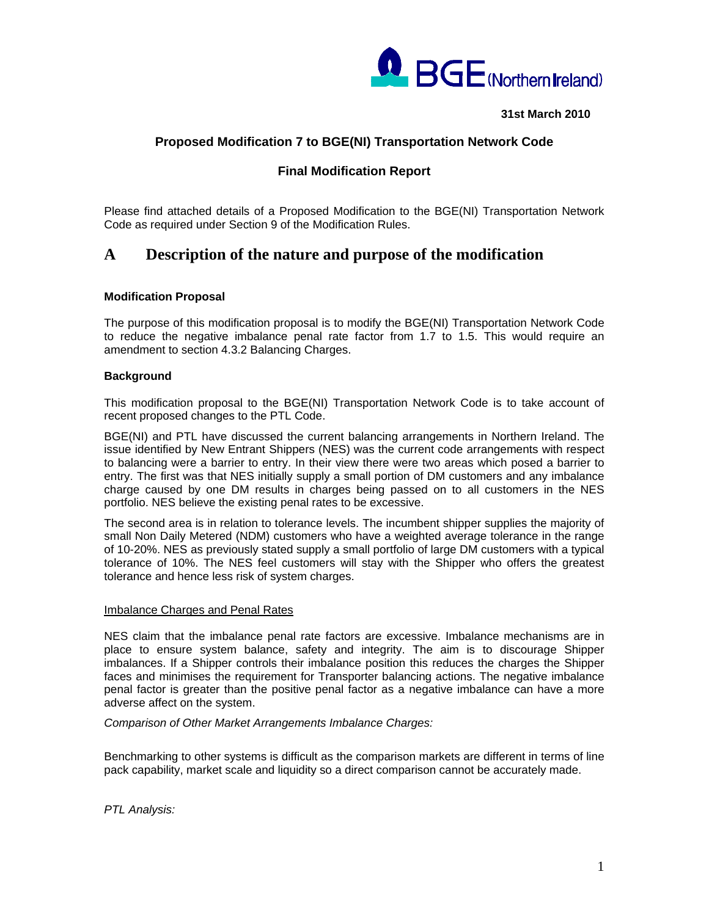

**31st March 2010** 

# **Proposed Modification 7 to BGE(NI) Transportation Network Code**

# **Final Modification Report**

Please find attached details of a Proposed Modification to the BGE(NI) Transportation Network Code as required under Section 9 of the Modification Rules.

# **A Description of the nature and purpose of the modification**

## **Modification Proposal**

The purpose of this modification proposal is to modify the BGE(NI) Transportation Network Code to reduce the negative imbalance penal rate factor from 1.7 to 1.5. This would require an amendment to section 4.3.2 Balancing Charges.

## **Background**

This modification proposal to the BGE(NI) Transportation Network Code is to take account of recent proposed changes to the PTL Code.

BGE(NI) and PTL have discussed the current balancing arrangements in Northern Ireland. The issue identified by New Entrant Shippers (NES) was the current code arrangements with respect to balancing were a barrier to entry. In their view there were two areas which posed a barrier to entry. The first was that NES initially supply a small portion of DM customers and any imbalance charge caused by one DM results in charges being passed on to all customers in the NES portfolio. NES believe the existing penal rates to be excessive.

The second area is in relation to tolerance levels. The incumbent shipper supplies the majority of small Non Daily Metered (NDM) customers who have a weighted average tolerance in the range of 10-20%. NES as previously stated supply a small portfolio of large DM customers with a typical tolerance of 10%. The NES feel customers will stay with the Shipper who offers the greatest tolerance and hence less risk of system charges.

#### Imbalance Charges and Penal Rates

NES claim that the imbalance penal rate factors are excessive. Imbalance mechanisms are in place to ensure system balance, safety and integrity. The aim is to discourage Shipper imbalances. If a Shipper controls their imbalance position this reduces the charges the Shipper faces and minimises the requirement for Transporter balancing actions. The negative imbalance penal factor is greater than the positive penal factor as a negative imbalance can have a more adverse affect on the system.

*Comparison of Other Market Arrangements Imbalance Charges:* 

Benchmarking to other systems is difficult as the comparison markets are different in terms of line pack capability, market scale and liquidity so a direct comparison cannot be accurately made.

*PTL Analysis:*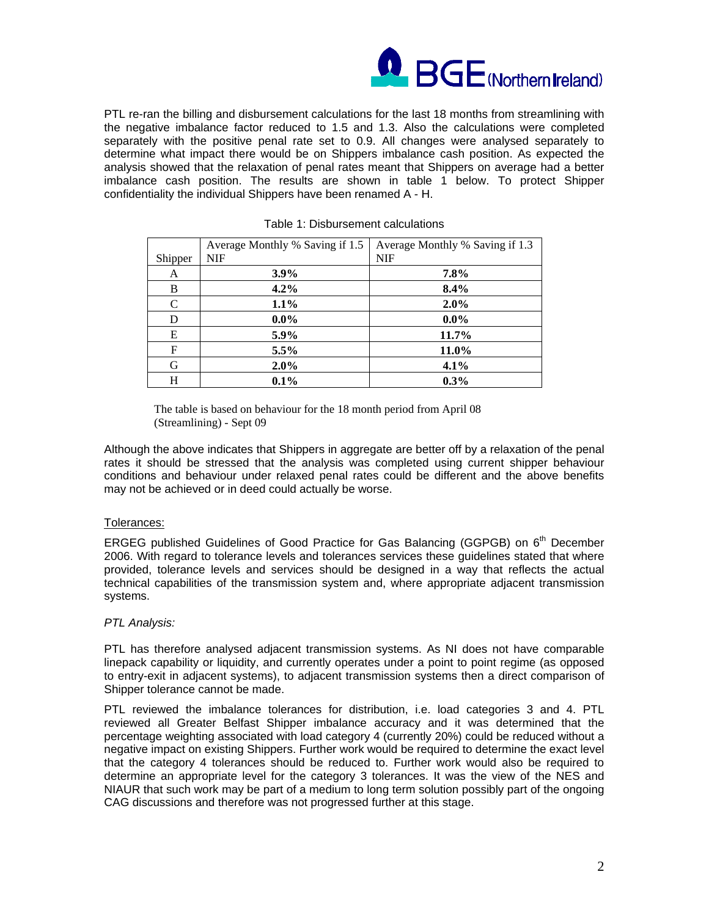

PTL re-ran the billing and disbursement calculations for the last 18 months from streamlining with the negative imbalance factor reduced to 1.5 and 1.3. Also the calculations were completed separately with the positive penal rate set to 0.9. All changes were analysed separately to determine what impact there would be on Shippers imbalance cash position. As expected the analysis showed that the relaxation of penal rates meant that Shippers on average had a better imbalance cash position. The results are shown in table 1 below. To protect Shipper confidentiality the individual Shippers have been renamed A - H.

|               | Average Monthly % Saving if 1.5 | Average Monthly % Saving if 1.3 |
|---------------|---------------------------------|---------------------------------|
| Shipper       | <b>NIF</b>                      | <b>NIF</b>                      |
| A             | $3.9\%$                         | 7.8%                            |
| B             | 4.2%                            | 8.4%                            |
| $\mathcal{C}$ | 1.1%                            | 2.0%                            |
| D             | $0.0\%$                         | $0.0\%$                         |
| E             | 5.9%                            | 11.7%                           |
| $\mathbf F$   | $5.5\%$                         | 11.0%                           |
| G             | 2.0%                            | 4.1%                            |
| Н             | 0.1%                            | 0.3%                            |

#### Table 1: Disbursement calculations

The table is based on behaviour for the 18 month period from April 08 (Streamlining) - Sept 09

Although the above indicates that Shippers in aggregate are better off by a relaxation of the penal rates it should be stressed that the analysis was completed using current shipper behaviour conditions and behaviour under relaxed penal rates could be different and the above benefits may not be achieved or in deed could actually be worse.

## Tolerances:

ERGEG published Guidelines of Good Practice for Gas Balancing (GGPGB) on 6<sup>th</sup> December 2006. With regard to tolerance levels and tolerances services these guidelines stated that where provided, tolerance levels and services should be designed in a way that reflects the actual technical capabilities of the transmission system and, where appropriate adjacent transmission systems.

## *PTL Analysis:*

PTL has therefore analysed adjacent transmission systems. As NI does not have comparable linepack capability or liquidity, and currently operates under a point to point regime (as opposed to entry-exit in adjacent systems), to adjacent transmission systems then a direct comparison of Shipper tolerance cannot be made.

PTL reviewed the imbalance tolerances for distribution, i.e. load categories 3 and 4. PTL reviewed all Greater Belfast Shipper imbalance accuracy and it was determined that the percentage weighting associated with load category 4 (currently 20%) could be reduced without a negative impact on existing Shippers. Further work would be required to determine the exact level that the category 4 tolerances should be reduced to. Further work would also be required to determine an appropriate level for the category 3 tolerances. It was the view of the NES and NIAUR that such work may be part of a medium to long term solution possibly part of the ongoing CAG discussions and therefore was not progressed further at this stage.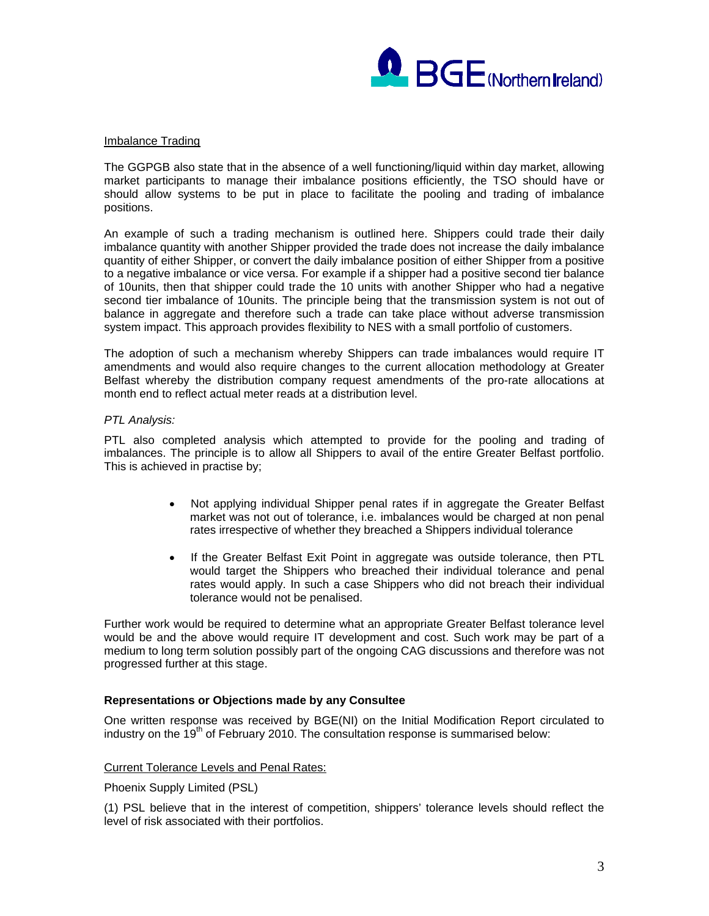

## Imbalance Trading

The GGPGB also state that in the absence of a well functioning/liquid within day market, allowing market participants to manage their imbalance positions efficiently, the TSO should have or should allow systems to be put in place to facilitate the pooling and trading of imbalance positions.

An example of such a trading mechanism is outlined here. Shippers could trade their daily imbalance quantity with another Shipper provided the trade does not increase the daily imbalance quantity of either Shipper, or convert the daily imbalance position of either Shipper from a positive to a negative imbalance or vice versa. For example if a shipper had a positive second tier balance of 10units, then that shipper could trade the 10 units with another Shipper who had a negative second tier imbalance of 10units. The principle being that the transmission system is not out of balance in aggregate and therefore such a trade can take place without adverse transmission system impact. This approach provides flexibility to NES with a small portfolio of customers.

The adoption of such a mechanism whereby Shippers can trade imbalances would require IT amendments and would also require changes to the current allocation methodology at Greater Belfast whereby the distribution company request amendments of the pro-rate allocations at month end to reflect actual meter reads at a distribution level.

#### *PTL Analysis:*

PTL also completed analysis which attempted to provide for the pooling and trading of imbalances. The principle is to allow all Shippers to avail of the entire Greater Belfast portfolio. This is achieved in practise by;

- Not applying individual Shipper penal rates if in aggregate the Greater Belfast market was not out of tolerance, i.e. imbalances would be charged at non penal rates irrespective of whether they breached a Shippers individual tolerance
- If the Greater Belfast Exit Point in aggregate was outside tolerance, then PTL would target the Shippers who breached their individual tolerance and penal rates would apply. In such a case Shippers who did not breach their individual tolerance would not be penalised.

Further work would be required to determine what an appropriate Greater Belfast tolerance level would be and the above would require IT development and cost. Such work may be part of a medium to long term solution possibly part of the ongoing CAG discussions and therefore was not progressed further at this stage.

## **Representations or Objections made by any Consultee**

One written response was received by BGE(NI) on the Initial Modification Report circulated to industry on the  $19<sup>th</sup>$  of February 2010. The consultation response is summarised below:

## Current Tolerance Levels and Penal Rates:

Phoenix Supply Limited (PSL)

(1) PSL believe that in the interest of competition, shippers' tolerance levels should reflect the level of risk associated with their portfolios.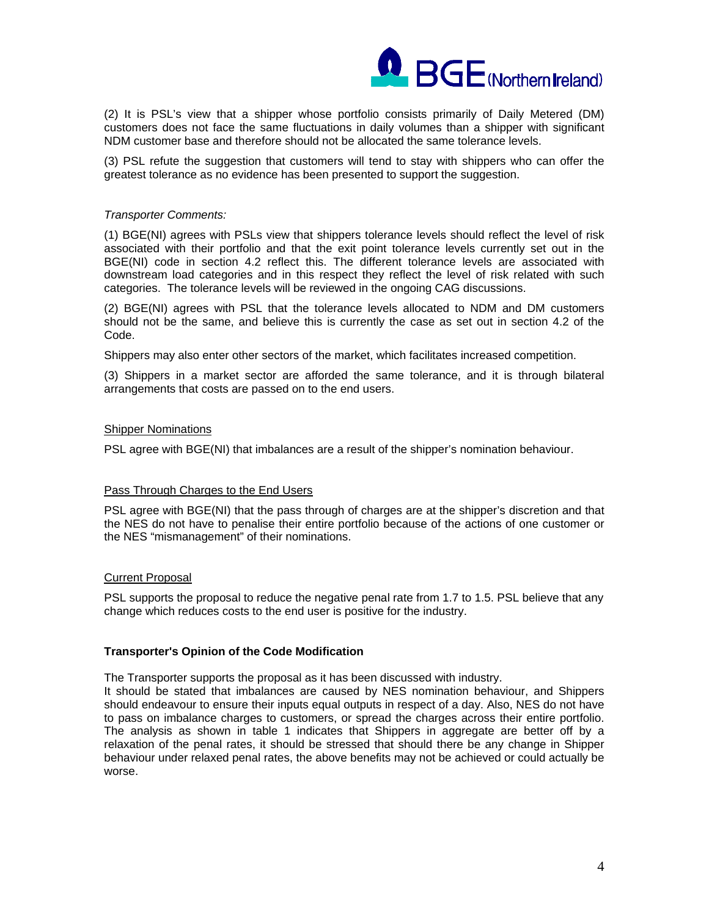

(2) It is PSL's view that a shipper whose portfolio consists primarily of Daily Metered (DM) customers does not face the same fluctuations in daily volumes than a shipper with significant NDM customer base and therefore should not be allocated the same tolerance levels.

(3) PSL refute the suggestion that customers will tend to stay with shippers who can offer the greatest tolerance as no evidence has been presented to support the suggestion.

#### *Transporter Comments:*

(1) BGE(NI) agrees with PSLs view that shippers tolerance levels should reflect the level of risk associated with their portfolio and that the exit point tolerance levels currently set out in the BGE(NI) code in section 4.2 reflect this. The different tolerance levels are associated with downstream load categories and in this respect they reflect the level of risk related with such categories. The tolerance levels will be reviewed in the ongoing CAG discussions.

(2) BGE(NI) agrees with PSL that the tolerance levels allocated to NDM and DM customers should not be the same, and believe this is currently the case as set out in section 4.2 of the Code.

Shippers may also enter other sectors of the market, which facilitates increased competition.

(3) Shippers in a market sector are afforded the same tolerance, and it is through bilateral arrangements that costs are passed on to the end users.

#### Shipper Nominations

PSL agree with BGE(NI) that imbalances are a result of the shipper's nomination behaviour.

## Pass Through Charges to the End Users

PSL agree with BGE(NI) that the pass through of charges are at the shipper's discretion and that the NES do not have to penalise their entire portfolio because of the actions of one customer or the NES "mismanagement" of their nominations.

#### Current Proposal

PSL supports the proposal to reduce the negative penal rate from 1.7 to 1.5. PSL believe that any change which reduces costs to the end user is positive for the industry.

## **Transporter's Opinion of the Code Modification**

The Transporter supports the proposal as it has been discussed with industry.

It should be stated that imbalances are caused by NES nomination behaviour, and Shippers should endeavour to ensure their inputs equal outputs in respect of a day. Also, NES do not have to pass on imbalance charges to customers, or spread the charges across their entire portfolio. The analysis as shown in table 1 indicates that Shippers in aggregate are better off by a relaxation of the penal rates, it should be stressed that should there be any change in Shipper behaviour under relaxed penal rates, the above benefits may not be achieved or could actually be worse.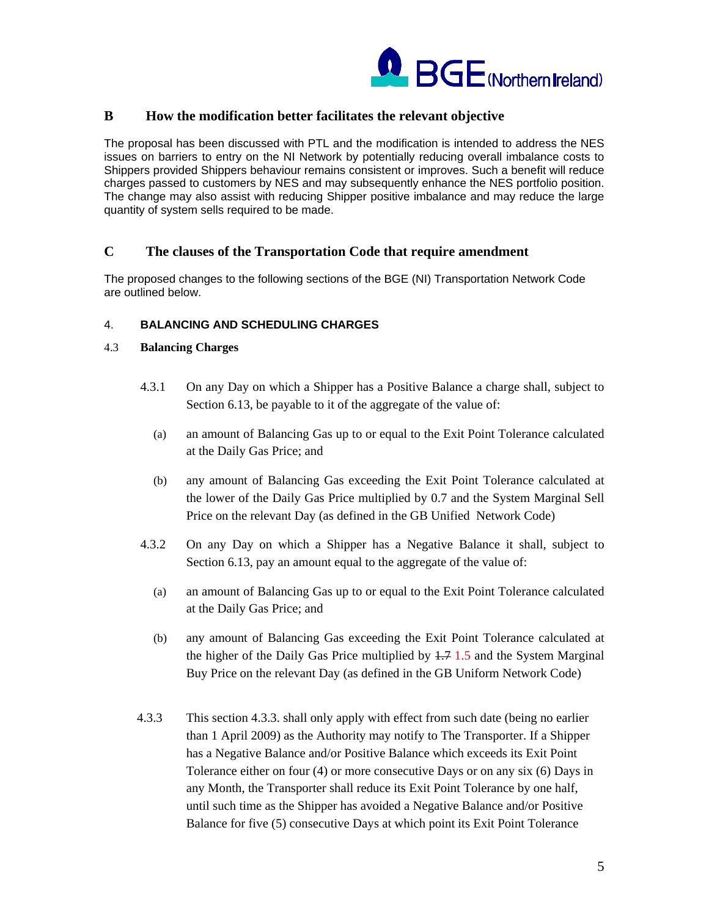

## **B How the modification better facilitates the relevant objective**

The proposal has been discussed with PTL and the modification is intended to address the NES issues on barriers to entry on the NI Network by potentially reducing overall imbalance costs to Shippers provided Shippers behaviour remains consistent or improves. Such a benefit will reduce charges passed to customers by NES and may subsequently enhance the NES portfolio position. The change may also assist with reducing Shipper positive imbalance and may reduce the large quantity of system sells required to be made.

## **C The clauses of the Transportation Code that require amendment**

The proposed changes to the following sections of the BGE (NI) Transportation Network Code are outlined below.

## 4. **BALANCING AND SCHEDULING CHARGES**

## 4.3 **Balancing Charges**

- 4.3.1 On any Day on which a Shipper has a Positive Balance a charge shall, subject to Section 6.13, be payable to it of the aggregate of the value of:
	- (a) an amount of Balancing Gas up to or equal to the Exit Point Tolerance calculated at the Daily Gas Price; and
	- (b) any amount of Balancing Gas exceeding the Exit Point Tolerance calculated at the lower of the Daily Gas Price multiplied by 0.7 and the System Marginal Sell Price on the relevant Day (as defined in the GB Unified Network Code)
- 4.3.2 On any Day on which a Shipper has a Negative Balance it shall, subject to Section 6.13, pay an amount equal to the aggregate of the value of:
	- (a) an amount of Balancing Gas up to or equal to the Exit Point Tolerance calculated at the Daily Gas Price; and
	- (b) any amount of Balancing Gas exceeding the Exit Point Tolerance calculated at the higher of the Daily Gas Price multiplied by  $1.7 \text{ } 1.5$  and the System Marginal Buy Price on the relevant Day (as defined in the GB Uniform Network Code)
- 4.3.3 This section 4.3.3. shall only apply with effect from such date (being no earlier than 1 April 2009) as the Authority may notify to The Transporter. If a Shipper has a Negative Balance and/or Positive Balance which exceeds its Exit Point Tolerance either on four (4) or more consecutive Days or on any six (6) Days in any Month, the Transporter shall reduce its Exit Point Tolerance by one half, until such time as the Shipper has avoided a Negative Balance and/or Positive Balance for five (5) consecutive Days at which point its Exit Point Tolerance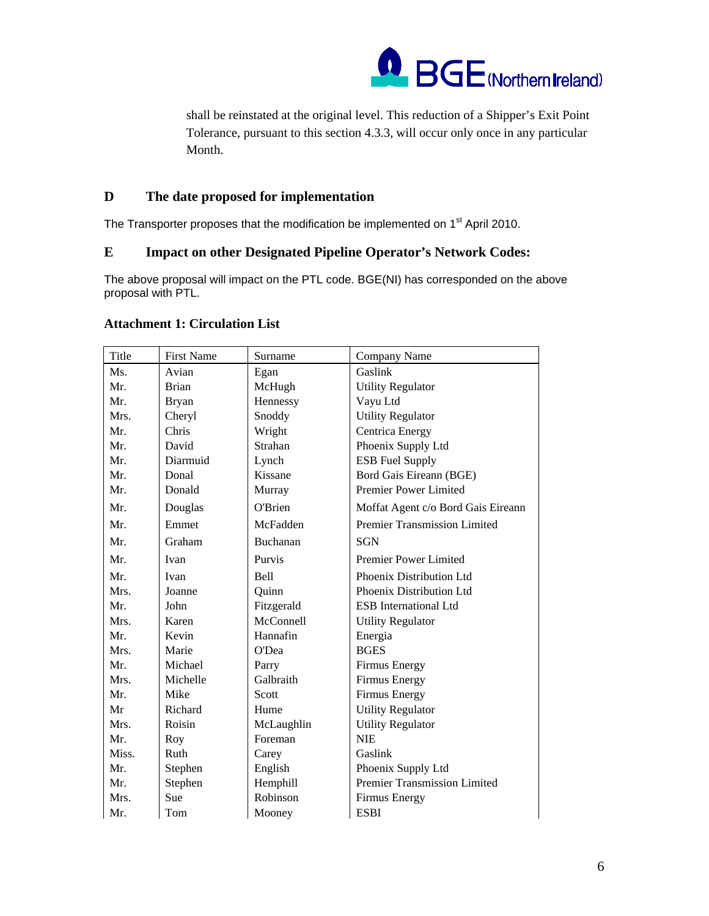

shall be reinstated at the original level. This reduction of a Shipper's Exit Point Tolerance, pursuant to this section 4.3.3, will occur only once in any particular Month.

# **D The date proposed for implementation**

The Transporter proposes that the modification be implemented on 1<sup>st</sup> April 2010.

# **E Impact on other Designated Pipeline Operator's Network Codes:**

The above proposal will impact on the PTL code. BGE(NI) has corresponded on the above proposal with PTL.

| Title | <b>First Name</b> | Surname    | <b>Company Name</b>                 |
|-------|-------------------|------------|-------------------------------------|
| Ms.   | Avian             | Egan       | Gaslink                             |
| Mr.   | <b>Brian</b>      | McHugh     | <b>Utility Regulator</b>            |
| Mr.   | <b>Bryan</b>      | Hennessy   | Vayu Ltd                            |
| Mrs.  | Cheryl            | Snoddy     | <b>Utility Regulator</b>            |
| Mr.   | Chris             | Wright     | Centrica Energy                     |
| Mr.   | David             | Strahan    | Phoenix Supply Ltd                  |
| Mr.   | Diarmuid          | Lynch      | <b>ESB Fuel Supply</b>              |
| Mr.   | Donal             | Kissane    | Bord Gais Eireann (BGE)             |
| Mr.   | Donald            | Murray     | Premier Power Limited               |
| Mr.   | Douglas           | O'Brien    | Moffat Agent c/o Bord Gais Eireann  |
| Mr.   | Emmet             | McFadden   | <b>Premier Transmission Limited</b> |
| Mr.   | Graham            | Buchanan   | <b>SGN</b>                          |
| Mr.   | Ivan              | Purvis     | Premier Power Limited               |
| Mr.   | Ivan              | Bell       | Phoenix Distribution Ltd            |
| Mrs.  | Joanne            | Quinn      | Phoenix Distribution Ltd            |
| Mr.   | John              | Fitzgerald | <b>ESB</b> International Ltd        |
| Mrs.  | Karen             | McConnell  | <b>Utility Regulator</b>            |
| Mr.   | Kevin             | Hannafin   | Energia                             |
| Mrs.  | Marie             | O'Dea      | <b>BGES</b>                         |
| Mr.   | Michael           | Parry      | Firmus Energy                       |
| Mrs.  | Michelle          | Galbraith  | <b>Firmus Energy</b>                |
| Mr.   | Mike              | Scott      | <b>Firmus Energy</b>                |
| Mr    | Richard           | Hume       | <b>Utility Regulator</b>            |
| Mrs.  | Roisin            | McLaughlin | <b>Utility Regulator</b>            |
| Mr.   | Roy               | Foreman    | <b>NIE</b>                          |
| Miss. | Ruth              | Carey      | Gaslink                             |
| Mr.   | Stephen           | English    | Phoenix Supply Ltd                  |
| Mr.   | Stephen           | Hemphill   | Premier Transmission Limited        |
| Mrs.  | Sue               | Robinson   | <b>Firmus Energy</b>                |
| Mr.   | Tom               | Mooney     | <b>ESBI</b>                         |

# **Attachment 1: Circulation List**